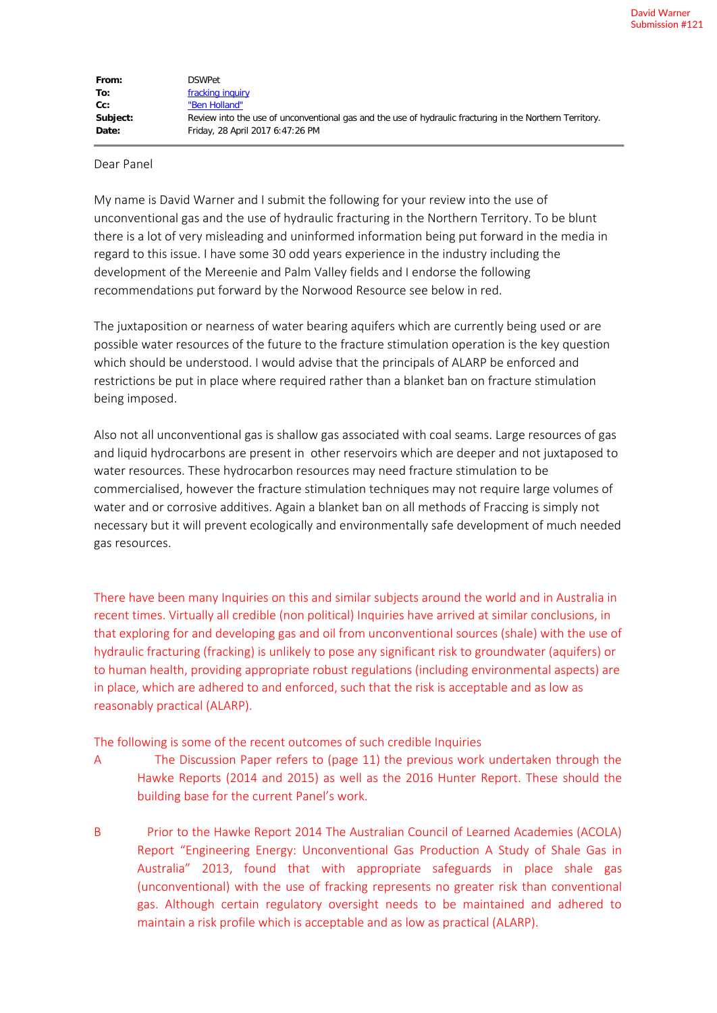| From:    | <b>DSWPet</b>                                                                                            |
|----------|----------------------------------------------------------------------------------------------------------|
| To:      | fracking inquiry                                                                                         |
| cc:      | "Ben Holland"                                                                                            |
| Subject: | Review into the use of unconventional gas and the use of hydraulic fracturing in the Northern Territory. |
| Date:    | Friday, 28 April 2017 6:47:26 PM                                                                         |

## Dear Panel

My name is David Warner and I submit the following for your review into the use of unconventional gas and the use of hydraulic fracturing in the Northern Territory. To be blunt there is a lot of very misleading and uninformed information being put forward in the media in regard to this issue. I have some 30 odd years experience in the industry including the development of the Mereenie and Palm Valley fields and I endorse the following recommendations put forward by the Norwood Resource see below in red.

The juxtaposition or nearness of water bearing aquifers which are currently being used or are possible water resources of the future to the fracture stimulation operation is the key question which should be understood. I would advise that the principals of ALARP be enforced and restrictions be put in place where required rather than a blanket ban on fracture stimulation being imposed.

Also not all unconventional gas is shallow gas associated with coal seams. Large resources of gas and liquid hydrocarbons are present in other reservoirs which are deeper and not juxtaposed to water resources. These hydrocarbon resources may need fracture stimulation to be commercialised, however the fracture stimulation techniques may not require large volumes of water and or corrosive additives. Again a blanket ban on all methods of Fraccing is simply not necessary but it will prevent ecologically and environmentally safe development of much needed gas resources.

There have been many Inquiries on this and similar subjects around the world and in Australia in recent times. Virtually all credible (non political) Inquiries have arrived at similar conclusions, in that exploring for and developing gas and oil from unconventional sources (shale) with the use of hydraulic fracturing (fracking) is unlikely to pose any significant risk to groundwater (aquifers) or to human health, providing appropriate robust regulations (including environmental aspects) are in place, which are adhered to and enforced, such that the risk is acceptable and as low as reasonably practical (ALARP).

The following is some of the recent outcomes of such credible Inquiries

- A The Discussion Paper refers to (page 11) the previous work undertaken through the Hawke Reports (2014 and 2015) as well as the 2016 Hunter Report. These should the building base for the current Panel's work.
- B Prior to the Hawke Report 2014 The Australian Council of Learned Academies (ACOLA) Report "Engineering Energy: Unconventional Gas Production A Study of Shale Gas in Australia" 2013, found that with appropriate safeguards in place shale gas (unconventional) with the use of fracking represents no greater risk than conventional gas. Although certain regulatory oversight needs to be maintained and adhered to maintain a risk profile which is acceptable and as low as practical (ALARP).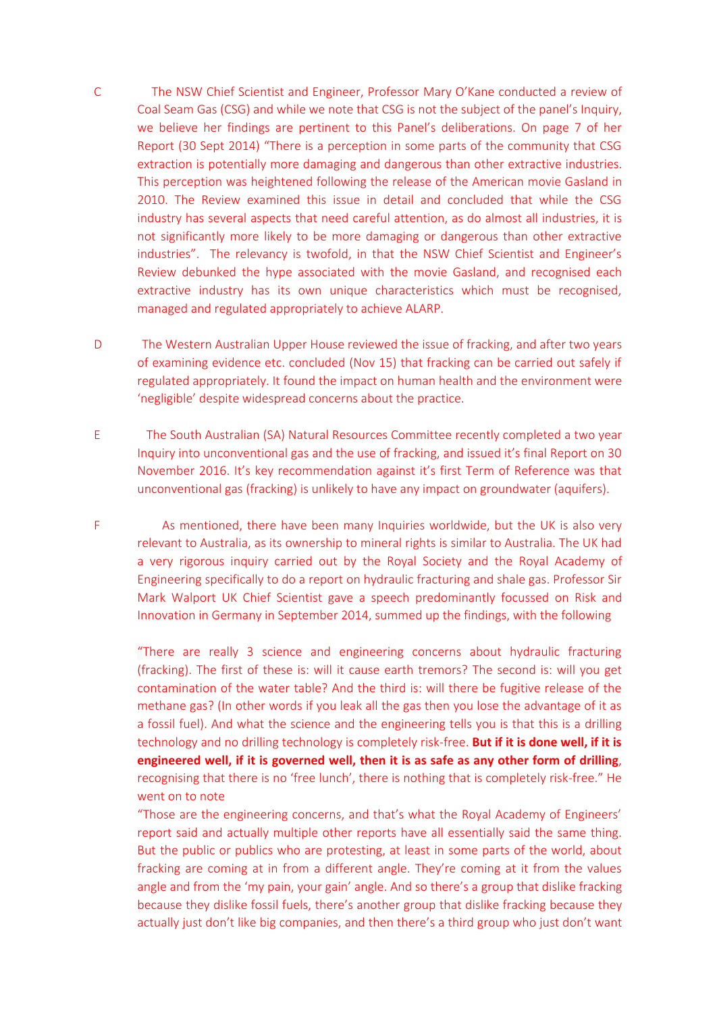- C The NSW Chief Scientist and Engineer, Professor Mary O'Kane conducted a review of Coal Seam Gas (CSG) and while we note that CSG is not the subject of the panel's Inquiry, we believe her findings are pertinent to this Panel's deliberations. On page 7 of her Report (30 Sept 2014) "There is a perception in some parts of the community that CSG extraction is potentially more damaging and dangerous than other extractive industries. This perception was heightened following the release of the American movie Gasland in 2010. The Review examined this issue in detail and concluded that while the CSG industry has several aspects that need careful attention, as do almost all industries, it is not significantly more likely to be more damaging or dangerous than other extractive industries". The relevancy is twofold, in that the NSW Chief Scientist and Engineer's Review debunked the hype associated with the movie Gasland, and recognised each extractive industry has its own unique characteristics which must be recognised, managed and regulated appropriately to achieve ALARP.
- D The Western Australian Upper House reviewed the issue of fracking, and after two years of examining evidence etc. concluded (Nov 15) that fracking can be carried out safely if regulated appropriately. It found the impact on human health and the environment were 'negligible' despite widespread concerns about the practice.
- E The South Australian (SA) Natural Resources Committee recently completed a two year Inquiry into unconventional gas and the use of fracking, and issued it's final Report on 30 November 2016. It's key recommendation against it's first Term of Reference was that unconventional gas (fracking) is unlikely to have any impact on groundwater (aquifers).
- F As mentioned, there have been many Inquiries worldwide, but the UK is also very relevant to Australia, as its ownership to mineral rights is similar to Australia. The UK had a very rigorous inquiry carried out by the Royal Society and the Royal Academy of Engineering specifically to do a report on hydraulic fracturing and shale gas. Professor Sir Mark Walport UK Chief Scientist gave a speech predominantly focussed on Risk and Innovation in Germany in September 2014, summed up the findings, with the following

"There are really 3 science and engineering concerns about hydraulic fracturing (fracking). The first of these is: will it cause earth tremors? The second is: will you get contamination of the water table? And the third is: will there be fugitive release of the methane gas? (In other words if you leak all the gas then you lose the advantage of it as a fossil fuel). And what the science and the engineering tells you is that this is a drilling technology and no drilling technology is completely risk-free. **But if it is done well, if it is engineered well, if it is governed well, then it is as safe as any other form of drilling**, recognising that there is no 'free lunch', there is nothing that is completely risk-free." He went on to note

"Those are the engineering concerns, and that's what the Royal Academy of Engineers' report said and actually multiple other reports have all essentially said the same thing. But the public or publics who are protesting, at least in some parts of the world, about fracking are coming at in from a different angle. They're coming at it from the values angle and from the 'my pain, your gain' angle. And so there's a group that dislike fracking because they dislike fossil fuels, there's another group that dislike fracking because they actually just don't like big companies, and then there's a third group who just don't want